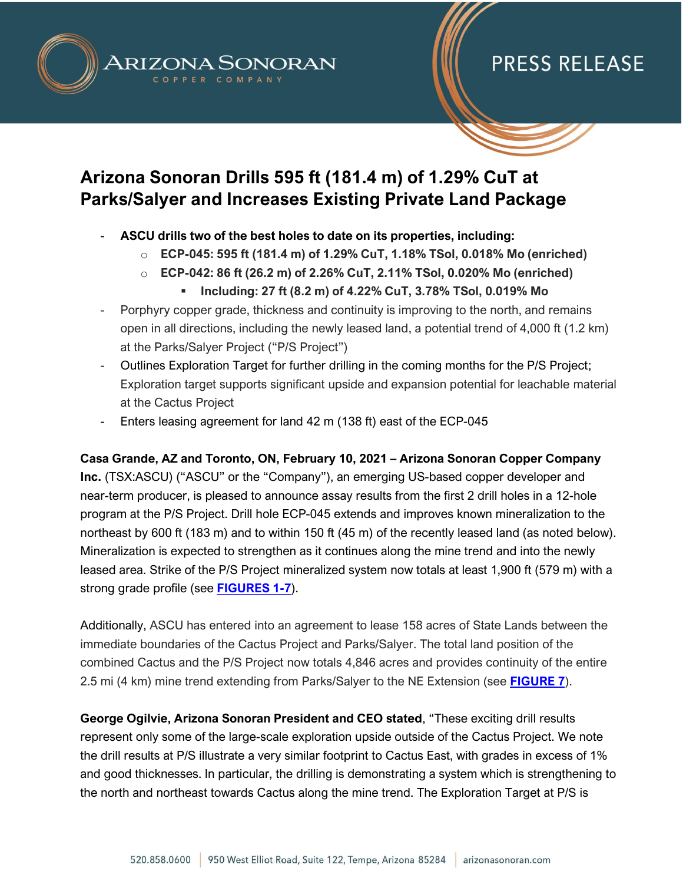



### **Arizona Sonoran Drills 595 ft (181.4 m) of 1.29% CuT at Parks/Salyer and Increases Existing Private Land Package**

- **ASCU drills two of the best holes to date on its properties, including:**
	- o **ECP-045: 595 ft (181.4 m) of 1.29% CuT, 1.18% TSol, 0.018% Mo (enriched)**
	- o **ECP-042: 86 ft (26.2 m) of 2.26% CuT, 2.11% TSol, 0.020% Mo (enriched)**
		- **Including: 27 ft (8.2 m) of 4.22% CuT, 3.78% TSol, 0.019% Mo**
- Porphyry copper grade, thickness and continuity is improving to the north, and remains open in all directions, including the newly leased land, a potential trend of 4,000 ft (1.2 km) at the Parks/Salyer Project ("P/S Project")
- Outlines Exploration Target for further drilling in the coming months for the P/S Project; Exploration target supports significant upside and expansion potential for leachable material at the Cactus Project
- Enters leasing agreement for land 42 m (138 ft) east of the ECP-045

**Casa Grande, AZ and Toronto, ON, February 10, 2021 – Arizona Sonoran Copper Company Inc.** (TSX:ASCU) ("ASCU" or the "Company"), an emerging US-based copper developer and near-term producer, is pleased to announce assay results from the first 2 drill holes in a 12-hole program at the P/S Project. Drill hole ECP-045 extends and improves known mineralization to the northeast by 600 ft (183 m) and to within 150 ft (45 m) of the recently leased land (as noted below). Mineralization is expected to strengthen as it continues along the mine trend and into the newly leased area. Strike of the P/S Project mineralized system now totals at least 1,900 ft (579 m) with a strong grade profile (see **[FIGURES 1-7](https://arizonasonoran.com/projects/exploration/maps-and-figures/)**).

Additionally, ASCU has entered into an agreement to lease 158 acres of State Lands between the immediate boundaries of the Cactus Project and Parks/Salyer. The total land position of the combined Cactus and the P/S Project now totals 4,846 acres and provides continuity of the entire 2.5 mi (4 km) mine trend extending from Parks/Salyer to the NE Extension (see **[FIGURE 7](https://arizonasonoran.com/projects/exploration/maps-and-figures/)**).

**George Ogilvie, Arizona Sonoran President and CEO stated**, "These exciting drill results represent only some of the large-scale exploration upside outside of the Cactus Project. We note the drill results at P/S illustrate a very similar footprint to Cactus East, with grades in excess of 1% and good thicknesses. In particular, the drilling is demonstrating a system which is strengthening to the north and northeast towards Cactus along the mine trend. The Exploration Target at P/S is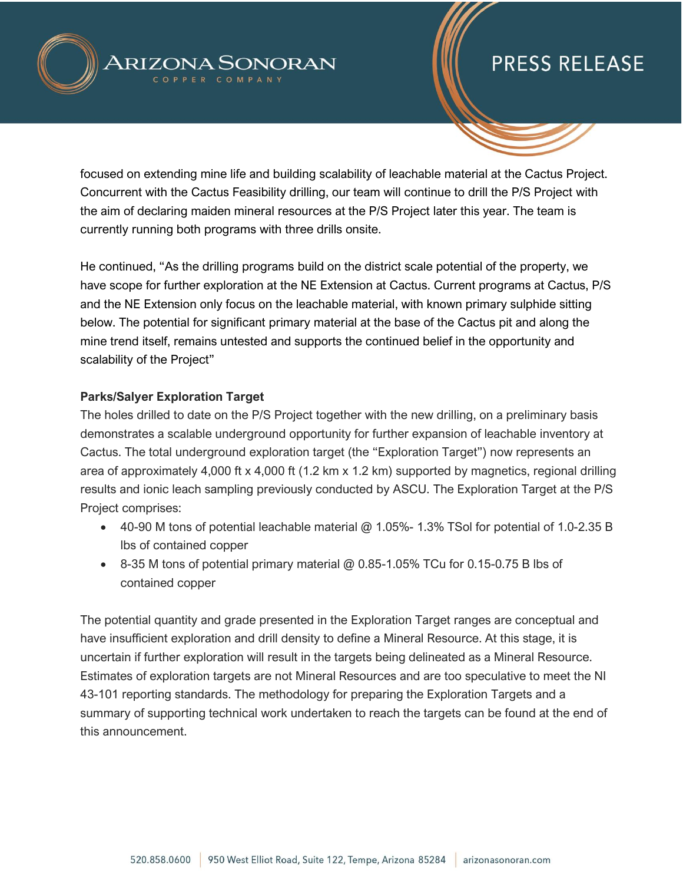



focused on extending mine life and building scalability of leachable material at the Cactus Project. Concurrent with the Cactus Feasibility drilling, our team will continue to drill the P/S Project with the aim of declaring maiden mineral resources at the P/S Project later this year. The team is currently running both programs with three drills onsite.

He continued, "As the drilling programs build on the district scale potential of the property, we have scope for further exploration at the NE Extension at Cactus. Current programs at Cactus, P/S and the NE Extension only focus on the leachable material, with known primary sulphide sitting below. The potential for significant primary material at the base of the Cactus pit and along the mine trend itself, remains untested and supports the continued belief in the opportunity and scalability of the Project"

### **Parks/Salyer Exploration Target**

The holes drilled to date on the P/S Project together with the new drilling, on a preliminary basis demonstrates a scalable underground opportunity for further expansion of leachable inventory at Cactus. The total underground exploration target (the "Exploration Target") now represents an area of approximately 4,000 ft x 4,000 ft (1.2 km x 1.2 km) supported by magnetics, regional drilling results and ionic leach sampling previously conducted by ASCU. The Exploration Target at the P/S Project comprises:

- 40-90 M tons of potential leachable material  $@$  1.05%- 1.3% TSol for potential of 1.0-2.35 B lbs of contained copper
- 8-35 M tons of potential primary material @ 0.85-1.05% TCu for 0.15-0.75 B lbs of contained copper

The potential quantity and grade presented in the Exploration Target ranges are conceptual and have insufficient exploration and drill density to define a Mineral Resource. At this stage, it is uncertain if further exploration will result in the targets being delineated as a Mineral Resource. Estimates of exploration targets are not Mineral Resources and are too speculative to meet the NI 43-101 reporting standards. The methodology for preparing the Exploration Targets and a summary of supporting technical work undertaken to reach the targets can be found at the end of this announcement.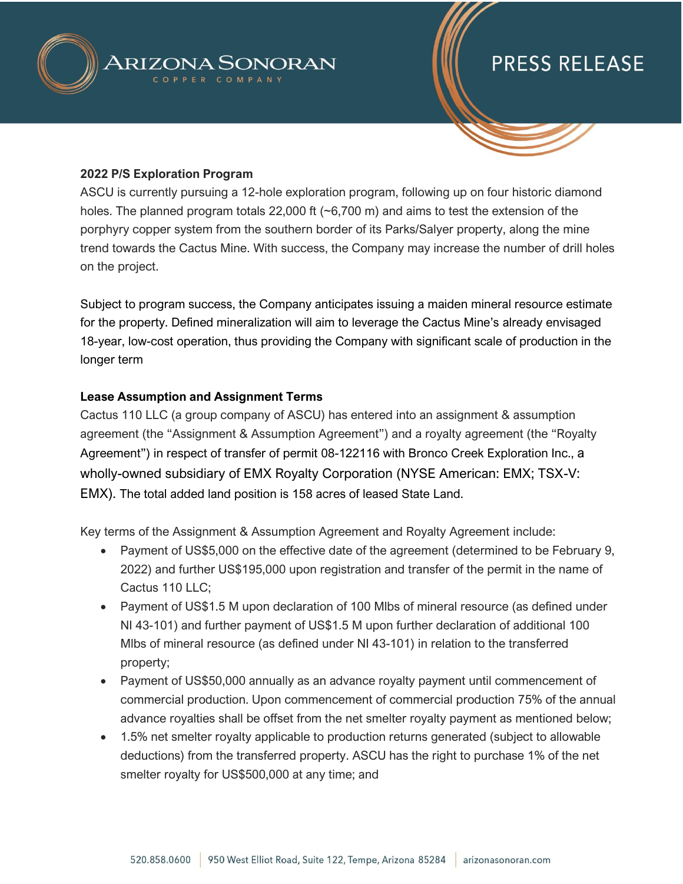

#### **2022 P/S Exploration Program**

ASCU is currently pursuing a 12-hole exploration program, following up on four historic diamond holes. The planned program totals 22,000 ft (~6,700 m) and aims to test the extension of the porphyry copper system from the southern border of its Parks/Salyer property, along the mine trend towards the Cactus Mine. With success, the Company may increase the number of drill holes on the project.

Subject to program success, the Company anticipates issuing a maiden mineral resource estimate for the property. Defined mineralization will aim to leverage the Cactus Mine's already envisaged 18-year, low-cost operation, thus providing the Company with significant scale of production in the longer term

#### **Lease Assumption and Assignment Terms**

Cactus 110 LLC (a group company of ASCU) has entered into an assignment & assumption agreement (the "Assignment & Assumption Agreement") and a royalty agreement (the "Royalty Agreement") in respect of transfer of permit 08-122116 with Bronco Creek Exploration Inc., a wholly-owned subsidiary of EMX Royalty Corporation (NYSE American: EMX; TSX-V: EMX). The total added land position is 158 acres of leased State Land.

Key terms of the Assignment & Assumption Agreement and Royalty Agreement include:

- Payment of US\$5,000 on the effective date of the agreement (determined to be February 9, 2022) and further US\$195,000 upon registration and transfer of the permit in the name of Cactus 110 LLC;
- Payment of US\$1.5 M upon declaration of 100 Mlbs of mineral resource (as defined under NI 43-101) and further payment of US\$1.5 M upon further declaration of additional 100 Mlbs of mineral resource (as defined under NI 43-101) in relation to the transferred property;
- Payment of US\$50,000 annually as an advance royalty payment until commencement of commercial production. Upon commencement of commercial production 75% of the annual advance royalties shall be offset from the net smelter royalty payment as mentioned below;
- 1.5% net smelter royalty applicable to production returns generated (subject to allowable deductions) from the transferred property. ASCU has the right to purchase 1% of the net smelter royalty for US\$500,000 at any time; and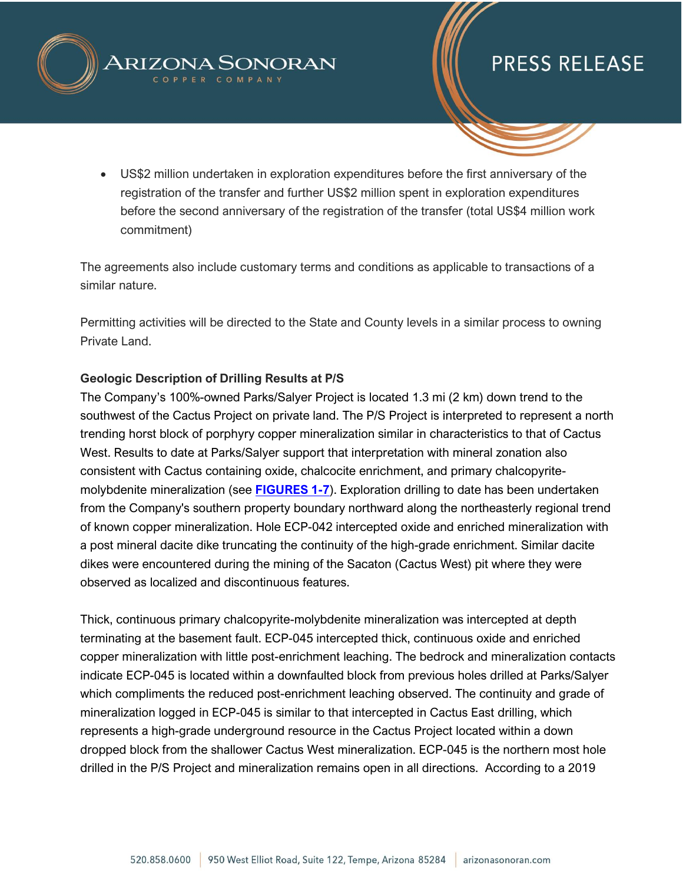



• US\$2 million undertaken in exploration expenditures before the first anniversary of the registration of the transfer and further US\$2 million spent in exploration expenditures before the second anniversary of the registration of the transfer (total US\$4 million work commitment)

The agreements also include customary terms and conditions as applicable to transactions of a similar nature.

Permitting activities will be directed to the State and County levels in a similar process to owning Private Land.

### **Geologic Description of Drilling Results at P/S**

The Company's 100%-owned Parks/Salyer Project is located 1.3 mi (2 km) down trend to the southwest of the Cactus Project on private land. The P/S Project is interpreted to represent a north trending horst block of porphyry copper mineralization similar in characteristics to that of Cactus West. Results to date at Parks/Salyer support that interpretation with mineral zonation also consistent with Cactus containing oxide, chalcocite enrichment, and primary chalcopyritemolybdenite mineralization (see **[FIGURES 1-7](https://arizonasonoran.com/projects/exploration/maps-and-figures/)**). Exploration drilling to date has been undertaken from the Company's southern property boundary northward along the northeasterly regional trend of known copper mineralization. Hole ECP-042 intercepted oxide and enriched mineralization with a post mineral dacite dike truncating the continuity of the high-grade enrichment. Similar dacite dikes were encountered during the mining of the Sacaton (Cactus West) pit where they were observed as localized and discontinuous features.

Thick, continuous primary chalcopyrite-molybdenite mineralization was intercepted at depth terminating at the basement fault. ECP-045 intercepted thick, continuous oxide and enriched copper mineralization with little post-enrichment leaching. The bedrock and mineralization contacts indicate ECP-045 is located within a downfaulted block from previous holes drilled at Parks/Salyer which compliments the reduced post-enrichment leaching observed. The continuity and grade of mineralization logged in ECP-045 is similar to that intercepted in Cactus East drilling, which represents a high-grade underground resource in the Cactus Project located within a down dropped block from the shallower Cactus West mineralization. ECP-045 is the northern most hole drilled in the P/S Project and mineralization remains open in all directions. According to a 2019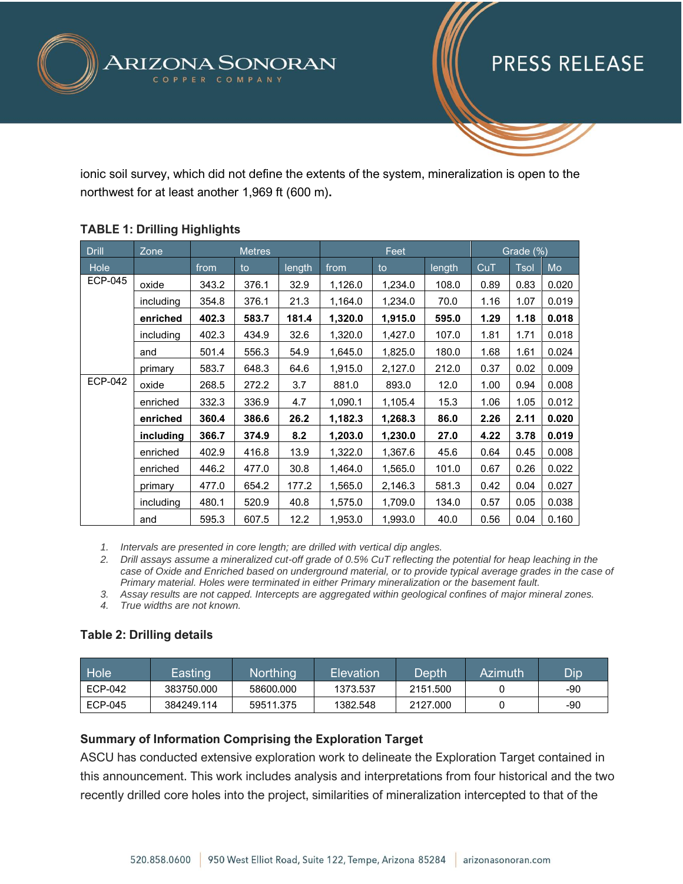

ionic soil survey, which did not define the extents of the system, mineralization is open to the northwest for at least another 1,969 ft (600 m)**.**

| <b>Drill</b>   | Zone      | <b>Metres</b> |       |        | Feet    |         |        | Grade (%) |             |       |
|----------------|-----------|---------------|-------|--------|---------|---------|--------|-----------|-------------|-------|
| Hole           |           | from          | to    | length | from    | to      | length | CuT       | <b>Tsol</b> | Mo    |
| <b>ECP-045</b> | oxide     | 343.2         | 376.1 | 32.9   | 1,126.0 | 1,234.0 | 108.0  | 0.89      | 0.83        | 0.020 |
|                | including | 354.8         | 376.1 | 21.3   | 1,164.0 | 1,234.0 | 70.0   | 1.16      | 1.07        | 0.019 |
|                | enriched  | 402.3         | 583.7 | 181.4  | 1,320.0 | 1,915.0 | 595.0  | 1.29      | 1.18        | 0.018 |
|                | including | 402.3         | 434.9 | 32.6   | 1,320.0 | 1,427.0 | 107.0  | 1.81      | 1.71        | 0.018 |
|                | and       | 501.4         | 556.3 | 54.9   | 1,645.0 | 1,825.0 | 180.0  | 1.68      | 1.61        | 0.024 |
|                | primary   | 583.7         | 648.3 | 64.6   | 1,915.0 | 2,127.0 | 212.0  | 0.37      | 0.02        | 0.009 |
| <b>ECP-042</b> | oxide     | 268.5         | 272.2 | 3.7    | 881.0   | 893.0   | 12.0   | 1.00      | 0.94        | 0.008 |
|                | enriched  | 332.3         | 336.9 | 4.7    | 1,090.1 | 1,105.4 | 15.3   | 1.06      | 1.05        | 0.012 |
|                | enriched  | 360.4         | 386.6 | 26.2   | 1,182.3 | 1,268.3 | 86.0   | 2.26      | 2.11        | 0.020 |
|                | including | 366.7         | 374.9 | 8.2    | 1,203.0 | 1,230.0 | 27.0   | 4.22      | 3.78        | 0.019 |
|                | enriched  | 402.9         | 416.8 | 13.9   | 1,322.0 | 1,367.6 | 45.6   | 0.64      | 0.45        | 0.008 |
|                | enriched  | 446.2         | 477.0 | 30.8   | 1,464.0 | 1,565.0 | 101.0  | 0.67      | 0.26        | 0.022 |
|                | primary   | 477.0         | 654.2 | 177.2  | 1,565.0 | 2,146.3 | 581.3  | 0.42      | 0.04        | 0.027 |
|                | including | 480.1         | 520.9 | 40.8   | 1,575.0 | 1,709.0 | 134.0  | 0.57      | 0.05        | 0.038 |
|                | and       | 595.3         | 607.5 | 12.2   | 1,953.0 | 1,993.0 | 40.0   | 0.56      | 0.04        | 0.160 |

### **TABLE 1: Drilling Highlights**

*1. Intervals are presented in core length; are drilled with vertical dip angles.*

*2. Drill assays assume a mineralized cut-off grade of 0.5% CuT reflecting the potential for heap leaching in the case of Oxide and Enriched based on underground material, or to provide typical average grades in the case of Primary material. Holes were terminated in either Primary mineralization or the basement fault.*

*3. Assay results are not capped. Intercepts are aggregated within geological confines of major mineral zones.*

*4. True widths are not known.* 

### **Table 2: Drilling details**

| Hole           | Easting    | Northing  | Elevation | Depth    | Azimuth | Dip |
|----------------|------------|-----------|-----------|----------|---------|-----|
| ECP-042        | 383750.000 | 58600.000 | 1373.537  | 2151.500 |         | -90 |
| <b>ECP-045</b> | 384249.114 | 59511.375 | 1382.548  | 2127,000 |         | -90 |

### **Summary of Information Comprising the Exploration Target**

ASCU has conducted extensive exploration work to delineate the Exploration Target contained in this announcement. This work includes analysis and interpretations from four historical and the two recently drilled core holes into the project, similarities of mineralization intercepted to that of the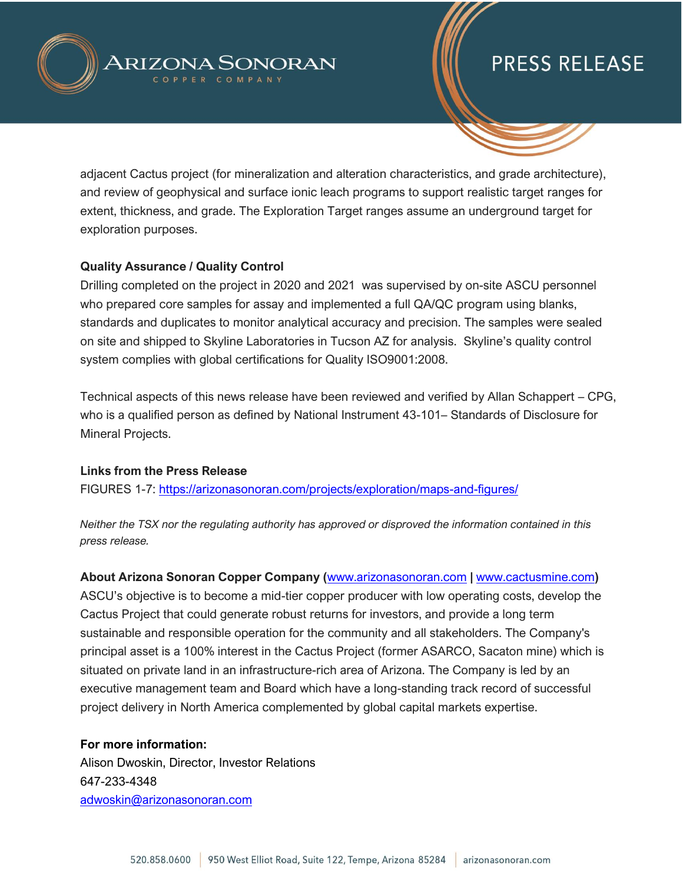

adjacent Cactus project (for mineralization and alteration characteristics, and grade architecture), and review of geophysical and surface ionic leach programs to support realistic target ranges for extent, thickness, and grade. The Exploration Target ranges assume an underground target for exploration purposes.

### **Quality Assurance / Quality Control**

Drilling completed on the project in 2020 and 2021 was supervised by on-site ASCU personnel who prepared core samples for assay and implemented a full QA/QC program using blanks, standards and duplicates to monitor analytical accuracy and precision. The samples were sealed on site and shipped to Skyline Laboratories in Tucson AZ for analysis. Skyline's quality control system complies with global certifications for Quality ISO9001:2008.

Technical aspects of this news release have been reviewed and verified by Allan Schappert – CPG, who is a qualified person as defined by National Instrument 43-101– Standards of Disclosure for Mineral Projects.

### **Links from the Press Release**

FIGURES 1-7:<https://arizonasonoran.com/projects/exploration/maps-and-figures/>

*Neither the TSX nor the regulating authority has approved or disproved the information contained in this press release.* 

**About Arizona Sonoran Copper Company (**[www.arizonasonoran.com](http://www.arizonasonoran.com/) **|** [www.cactusmine.com](http://www.cactusmine.com/)**)** ASCU's objective is to become a mid-tier copper producer with low operating costs, develop the Cactus Project that could generate robust returns for investors, and provide a long term sustainable and responsible operation for the community and all stakeholders. The Company's principal asset is a 100% interest in the Cactus Project (former ASARCO, Sacaton mine) which is situated on private land in an infrastructure-rich area of Arizona. The Company is led by an executive management team and Board which have a long-standing track record of successful project delivery in North America complemented by global capital markets expertise.

**For more information:** Alison Dwoskin, Director, Investor Relations 647-233-4348 [adwoskin@arizonasonoran.com](mailto:adwoskin@arizonasonoran.com)